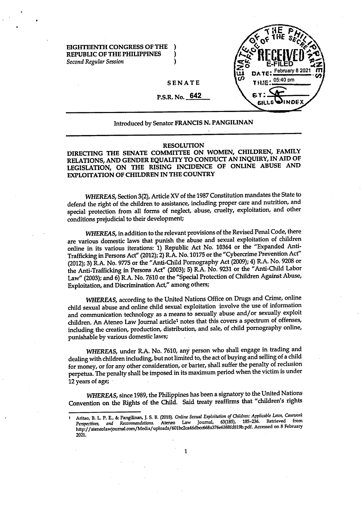**EIGHTEENTH CONGRESS OF THE ) REPUBLIC OF THE PHILIPPINES** ) *Second Regular Session* )



## **SENATE**

P.S.R. No. **642**

## Introduced by Senator **FRANCIS N. PANGILINAN**

## **RESOLUTION**

**DIRECTING THE SENATE COMMITTEE ON WOMEN, CHILDREN, FAMILY RELATIONS, AND GENDER EQUALITY TO CONDUCT AN INQUIRY, IN AID OF LEGISLATION, ON THE RISING INCIDENCE OF ONLINE ABUSE AND EXPLOITATION OF CHILDREN IN THE COUNTRY**

WHEREAS, Section 3(2), Article XV of the 1987 Constitution mandates the State to defend the right of the children to assistance, including proper care and nutrition, and special protection from all forms of neglect, abuse, cruelty, exploitation, and other conditions prejudicial to their development;

*WHEREAS,* in addition to the relevant provisions of the Revised Penal Code, there are various domestic laws that punish the abuse and sexual exploitation of children online in its various iterations: 1) Republic Act No. 10364 or the "Expanded Anti-Trafficking in Persons Act" (2012); 2) R.A. No. 10175 or the "Cybercrime Prevention Act" (2012); 3) R.A. No. 9775 or the "Anti-Child Pornography Act (2009); 4) R.A. No. 9208 or the Anti-Trafficking in Persons Act" (2003); 5) R.A. No. 9231 or the "Anti-Child Labor Law" (2003); and 6) R.A. No. 7610 or the "Special Protection of Children Against Abuse, Exploitation, and Discrimination Act," among others;

*WHEREAS,* according to the United Nations Office on Drugs and Crime, online child sexual abuse and online child sexual exploitation involve the use of information and communication technology as a means to sexually abuse and/or sexually exploit children. An Ateneo Law Journal article1 notes that this covers a spectrum of offenses, including the creation, production, distribution, and sale, of child pornography online, punishable by various domestic laws;

*WHEREAS,* under R.A. No. 7610, any person who shall engage in trading and dealing with children including, but not limited to, the act of buying and selling of a child for money, or for any other consideration, or barter, shall suffer the penalty of reclusion perpetua. The penalty shall be imposed in its maximum period when the victim is under 12 years of age;

*WHEREAS,* since 1989, the Philippines has been a signatory to the United Nations Convention on the Rights of the Child. Said treaty reaffirms that "children's rights

<sup>1</sup> Aritao, B. L. P. E., & PangiUnan, J. S. B. (2018). *Online Sexual Exploitation of Children: Applicable Laws, Casemrk* Perspectives, and *Recommendations*. Ateneo Law Journal, 63(185), 185-236. Retrieved [http://ateneolawjoumal.com/Media/uploads/601bc2ca46dbcc668a376e6388fd819b.pdf.](http://ateneolawjoumal.com/Media/uploads/601bc2ca46dbcc668a376e6388fd819b.pdf) Accessed on 8 February 2021.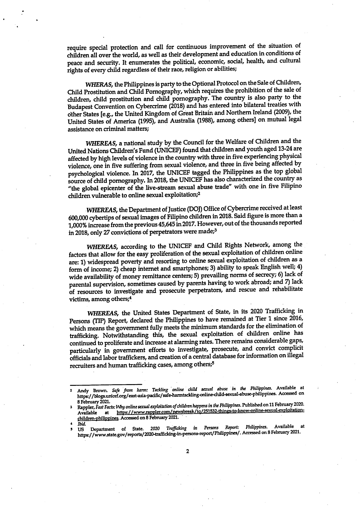require special protection and call for continuous improvement of the situation of children all over the world, as well as their development and education in conditions of peace and security. It enumerates the political, economic, social, health, and cultural rights of every child regardless of their race, religion or abilities;

WHERAS, the Philippines is party to the Optional Protocol on the Sale of Children, Child Prostitution and Child Pornography, which requires the prohibition of the sale of children, child prostitution and child pornography. The country is also party to the Budapest Convention on Cybercrime (2018) and has entered into bilateral treaties with other States [e.g., the United Kingdom of Great Britain and Northern Ireland (2009), the United States of America (1995), and Australia (1988), among others] on mutual legal assistance on criminal matters;

*WHEREAS,* a national study by the Council for the Welfare of Children and the United Nations Children's Fund (UNICEF) found that children and youth aged 13-24 are affected by high levels of violence in the country with three in five experiencing physical violence, one in five suffering from sexual violence, and three in five being affected by psychological violence. In 2017, the UNICEF tagged the Philippines as the top global source of child pornography. In 2018, the UNICEF has also characterized the country as "the global epicenter of the live-stream sexual abuse trade" with one in five Filipino children vulnerable to online sexual exploitation;2

*WHEREAS,* the Department of Justice (DOJ) Office of Cybercrime received at least 600,000 cybertips of sexual images of Filipino children in 2018. Said figure is more than a 1,000% increase from the previous 45,645 in 2017. However, out of the thousands reported in 2018, only 27 convictions of perpetrators were made;3

*WHEREAS,* according to the UNICEF and Child Rights Network, among the factors that allow for the easy proliferation of the sexual exploitation of children online are: 1) widespread poverty and resorting to online sexual exploitation of children as a form of income; 2) cheap internet and smartphones; 3) ability to speak English well; 4) wide availability of money remittance centers; 5) prevailing norms of secrecy; 6) lack of parental supervision, sometimes caused by parents having to work abroad; and 7) lack of resources to investigate and prosecute perpetrators, and rescue and rehabilitate victims, among others;4

*WHEREAS,* the United States Department of State, in its 2020 Trafficking in Persons (TIP) Report, declared the Philippines to have remained at Tier 1 since 2016, which means the government fully meets the minimum standards for the elimination of trafficking. Notwithstanding this, the sexual exploitation of children online has continued to proliferate and increase at alarming rates. There remains considerable gaps, particularly in government efforts to investigate, prosecute, and convict complicit officials and labor traffickers, and creation of a central database for information on illegal recruiters and human trafficking cases, among others;5

**Andy Brown.** *Safe from ham; Tackling online child sexual abuse in (he Philippines.* **Available at <https://blogs.unicef.org/east-asia-padfic/safe-hanntackling-online-child-sexual-abuse-philippines>. Accessed on**

**Rapple^flstFflcfs:** *Why online sexual exploitation (^children happens in the Philippines.* **Published on 11 Februay 2020.** Available at <u>https://www.rappler.com/newsbreak/iq/251532-things-to-know-online-sexual-exploitation-</u> **rhildren-ohilippines. Accessed on 8 February 2021.**

**us' Department of State.** *<sup>2020</sup> Trafficking in Persons Report: Philippines. Mailable at* **<https://www.state.gov/reports/2020-trafficking-ln-persons-report/Philippines/>. Accessed on 8 February 2021.**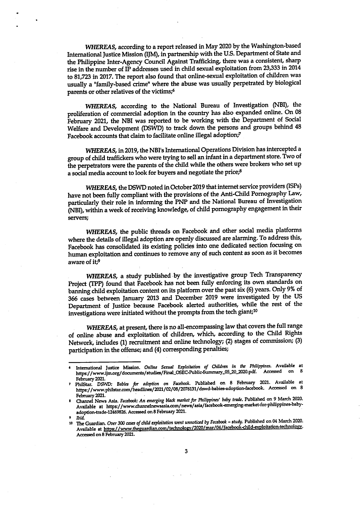*WHEREAS,* according to a report released in May 2020 by the Washington-based International Justice Mission (IJM), in partnership with the U.S. Department of State and the Philippine Inter-Agency Council Against Trafficking, there was a consistent, sharp rise in the number of IP addresses used in child sexual exploitation from 23,333 in 2014 to 81,723 in 2017. The report also found that online-sexual exploitation of children was usually a "family-based crime" where the abuse was usually perpetrated by biological parents or other relatives of the victims;6

*WHEREAS,* according to the National Bureau of Investigation (NBI), the proliferation of commercial adoption in the country has also expanded online. On 08 February 2021, the NBI was reported to be working with the Department of Social Welfare and Development (DSWD) to track down the persons and groups behind 48 Facebook accounts that claim to facilitate online illegal adoption;7

WHEREAS, in 2019, the NBI's International Operations Division has intercepted a group of child traffickers who were trying to sell an infant in a department store. Two of the perpetrators were the parents of the child while the others were brokers who set up a social media account to look for buyers and negotiate the price;8

*WHEREAS,* the DSWD noted in October 2019 that internet service providers (ISPs) have not been fully compliant with the provisions of the Anti-Child Pornography Law, particularly their role in informing the PNP and the National Bureau of Investigation (NBI), within a week of receiving knowledge, of child pornography engagement in their servers;

*WHEREAS,* the public threads on Facebook and other social media platforms where the details of illegal adoption are openly discussed are alarming. To address this, Facebook has consolidated its existing policies into one dedicated section focusing on human exploitation and continues to remove any of such content as soon as it becomes aware of it;9

*WHEREAS,* a study published by the investigative group Tech Transparency Project (TPP) found that Facebook has not been fully enforcing its own standards on banning child exploitation content on its platform over the past six (6) years. Only 9% of 366 cases between January 2013 and December 2019 were investigated by the US Department of Justice because Facebook alerted authorities, while the rest of the investigations were initiated without the prompts from the tech giant;10

*WHEREAS,* at present, there is no all-encompassing law that covers the full range of online abuse and exploitation of children, which, according to the Child Rights Network, includes (1) recruitment and online technology; (2) stages of commission; (3) participation in the offense; and (4) corresponding penalties;

**<sup>&#</sup>x27; International Justice Mission.** *Online Sexual Exploitation of Oaliren in the Philippines.* **Available at https://[www.ijm.org/documents/studies/Final\\_OSEC-Public.Summary\\_05\\_20\\_\\_2020.pdf.](http://www.ijm.org/documents/studies/Final_OSEC-Public.Summary_05_20__2020.pdf) Accessed on <sup>8</sup>** February 2021.<br>7 PhilStar, DSWD: Babies for adoption on Facebook. Published on 8 February 2021. Available at

**<https://www.phUstar.eom/headlines/2021/02/08/2076131/dswd-babies-adoption-facebook>. Accessed on 8** February 2021.

**<sup>«</sup> News Asia.** *Facebook: An emerging black marketfor Philippines' baby trade.* **Published on 9 March 2CC0. Available at [https://www.charmelnewsasla.com/news/asia/facebook-emerging-inarket-for-philippines-baby](https://www.charmelnewsasla.com/news/asia/facebook-emerging-inarket-for-philippines-baby-)adoption-trade-12469826. Accessed on 8 February 2021.**

<sup>&</sup>lt;sup>9</sup> Ibid.<br><sup>10</sup> The Guardian. *Over 300 cases of child exploitation went unnoticed by Facebook – study. Published on 04 March 2020.* **Available at <https://www.theguardian.com/technologv/2020/mar/>04/facebook<hild-exploitation-technology. Accessed on 8 February 2021.**